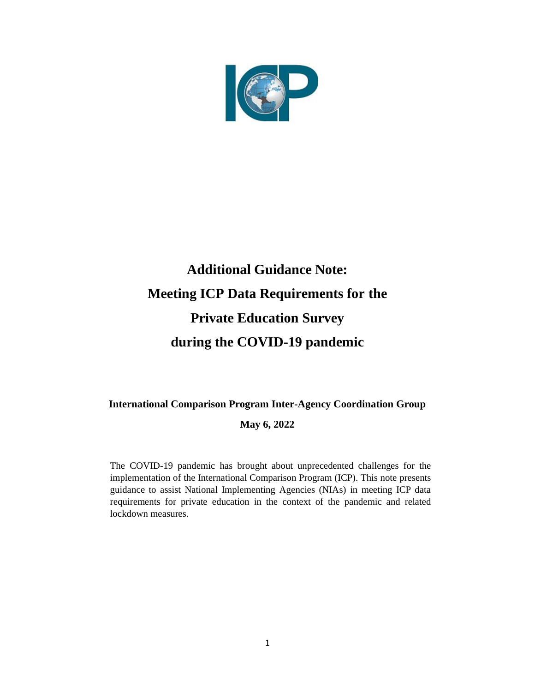

# **Additional Guidance Note: Meeting ICP Data Requirements for the Private Education Survey during the COVID-19 pandemic**

# **International Comparison Program Inter-Agency Coordination Group**

#### **May 6, 2022**

The COVID-19 pandemic has brought about unprecedented challenges for the implementation of the International Comparison Program (ICP). This note presents guidance to assist National Implementing Agencies (NIAs) in meeting ICP data requirements for private education in the context of the pandemic and related lockdown measures.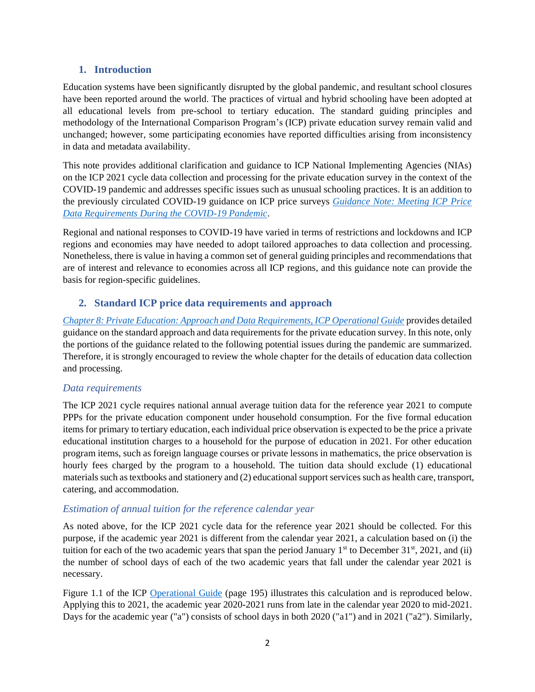#### **1. Introduction**

Education systems have been significantly disrupted by the global pandemic, and resultant school closures have been reported around the world. The practices of virtual and hybrid schooling have been adopted at all educational levels from pre-school to tertiary education. The standard guiding principles and methodology of the International Comparison Program's (ICP) private education survey remain valid and unchanged; however, some participating economies have reported difficulties arising from inconsistency in data and metadata availability.

This note provides additional clarification and guidance to ICP National Implementing Agencies (NIAs) on the ICP 2021 cycle data collection and processing for the private education survey in the context of the COVID-19 pandemic and addresses specific issues such as unusual schooling practices. It is an addition to the previously circulated COVID-19 guidance on ICP price surveys *[Guidance Note: Meeting ICP Price](https://thedocs.worldbank.org/en/doc/af6ad75071120c9ccfca6dd50675a270-0050022021/original/ICP-COVID19-Guidance-Note-Prices-2021-02-03.pdf)  [Data Requirements During the COVID-19 Pandemic](https://thedocs.worldbank.org/en/doc/af6ad75071120c9ccfca6dd50675a270-0050022021/original/ICP-COVID19-Guidance-Note-Prices-2021-02-03.pdf)*.

Regional and national responses to COVID-19 have varied in terms of restrictions and lockdowns and ICP regions and economies may have needed to adopt tailored approaches to data collection and processing. Nonetheless, there is value in having a common set of general guiding principles and recommendations that are of interest and relevance to economies across all ICP regions, and this guidance note can provide the basis for region-specific guidelines.

# **2. Standard ICP price data requirements and approach**

*[Chapter 8: Private Education: Approach and Data Requirements, ICP Operational Guide](https://pubdocs.worldbank.org/en/682631487094204337/OG-ch8.pdf)* provides detailed guidance on the standard approach and data requirements for the private education survey. In this note, only the portions of the guidance related to the following potential issues during the pandemic are summarized. Therefore, it is strongly encouraged to review the whole chapter for the details of education data collection and processing.

#### *Data requirements*

The ICP 2021 cycle requires national annual average tuition data for the reference year 2021 to compute PPPs for the private education component under household consumption. For the five formal education items for primary to tertiary education, each individual price observation is expected to be the price a private educational institution charges to a household for the purpose of education in 2021. For other education program items, such as foreign language courses or private lessons in mathematics, the price observation is hourly fees charged by the program to a household. The tuition data should exclude (1) educational materials such as textbooks and stationery and (2) educational support services such as health care, transport, catering, and accommodation.

#### *Estimation of annual tuition for the reference calendar year*

As noted above, for the ICP 2021 cycle data for the reference year 2021 should be collected. For this purpose, if the academic year 2021 is different from the calendar year 2021, a calculation based on (i) the tuition for each of the two academic years that span the period January  $1<sup>st</sup>$  to December 31 $<sup>st</sup>$ , 2021, and (ii)</sup> the number of school days of each of the two academic years that fall under the calendar year 2021 is necessary.

Figure 1.1 of the ICP [Operational](https://thedocs.worldbank.org/en/doc/682631487094204337-0050022017/original/OGch8.pdf) Guide (page 195) illustrates this calculation and is reproduced below. Applying this to 2021, the academic year 2020-2021 runs from late in the calendar year 2020 to mid-2021. Days for the academic year ("a") consists of school days in both 2020 ("a1") and in 2021 ("a2"). Similarly,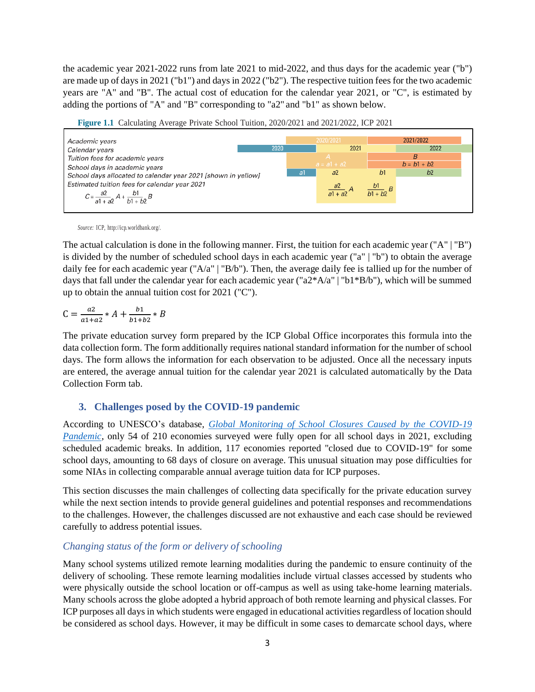the academic year 2021-2022 runs from late 2021 to mid-2022, and thus days for the academic year ("b") are made up of days in 2021 ("b1") and days in 2022 ("b2"). The respective tuition fees for the two academic years are "A" and "B". The actual cost of education for the calendar year 2021, or "C", is estimated by adding the portions of "A" and "B" corresponding to "a2" and "b1" as shown below.

**Figure 1.1** Calculating Average Private School Tuition, 2020/2021 and 2021/2022, ICP 2021



*Source:* ICP, [http://icp.worldbank.org/.](http://icp.worldbank.org/)

The actual calculation is done in the following manner. First, the tuition for each academic year ("A" | "B") is divided by the number of scheduled school days in each academic year ("a" | "b") to obtain the average daily fee for each academic year ("A/a" | "B/b"). Then, the average daily fee is tallied up for the number of days that fall under the calendar year for each academic year (" $a2*A/a$ " | " $b1*B/b$ "), which will be summed up to obtain the annual tuition cost for 2021 ("C").

$$
C = \frac{az}{a1 + a2} * A + \frac{b1}{b1 + b2} * B
$$

The private education survey form prepared by the ICP Global Office incorporates this formula into the data collection form. The form additionally requires national standard information for the number of school days. The form allows the information for each observation to be adjusted. Once all the necessary inputs are entered, the average annual tuition for the calendar year 2021 is calculated automatically by the Data Collection Form tab.

#### **3. Challenges posed by the COVID-19 pandemic**

According to UNESCO's database*, [Global Monitoring of School Closures Caused by the COVID-19](https://covid19.uis.unesco.org/data/)  [Pandemic](https://covid19.uis.unesco.org/data/)*, only 54 of 210 economies surveyed were fully open for all school days in 2021, excluding scheduled academic breaks. In addition, 117 economies reported "closed due to COVID-19" for some school days, amounting to 68 days of closure on average. This unusual situation may pose difficulties for some NIAs in collecting comparable annual average tuition data for ICP purposes.

This section discusses the main challenges of collecting data specifically for the private education survey while the next section intends to provide general guidelines and potential responses and recommendations to the challenges. However, the challenges discussed are not exhaustive and each case should be reviewed carefully to address potential issues.

#### *Changing status of the form or delivery of schooling*

Many school systems utilized remote learning modalities during the pandemic to ensure continuity of the delivery of schooling. These remote learning modalities include virtual classes accessed by students who were physically outside the school location or off-campus as well as using take-home learning materials. Many schools across the globe adopted a hybrid approach of both remote learning and physical classes. For ICP purposes all days in which students were engaged in educational activities regardless of location should be considered as school days. However, it may be difficult in some cases to demarcate school days, where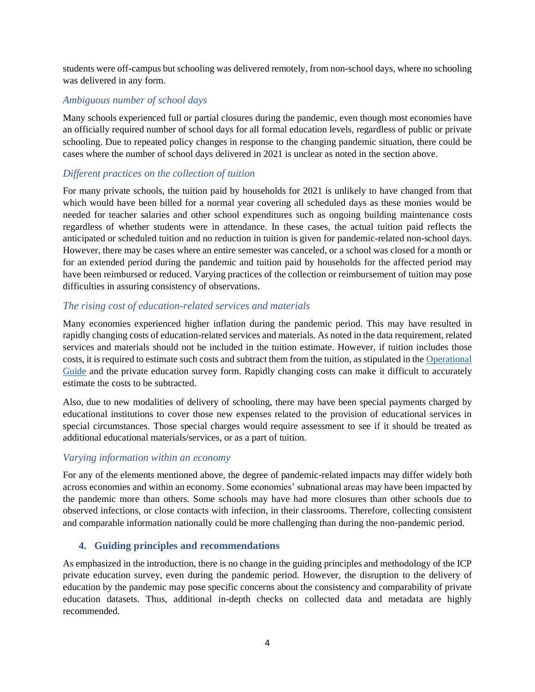students were off-campus but schooling was delivered remotely, from non-school days, where no schooling was delivered in any form.

#### *Ambiguous number of school days*

Many schools experienced full or partial closures during the pandemic, even though most economies have an officially required number of school days for all formal education levels, regardless of public or private schooling. Due to repeated policy changes in response to the changing pandemic situation, there could be cases where the number of school days delivered in 2021 is unclear as noted in the section above.

#### *Different practices on the collection of tuition*

For many private schools, the tuition paid by households for 2021 is unlikely to have changed from that which would have been billed for a normal year covering all scheduled days as these monies would be needed for teacher salaries and other school expenditures such as ongoing building maintenance costs regardless of whether students were in attendance. In these cases, the actual tuition paid reflects the anticipated or scheduled tuition and no reduction in tuition is given for pandemic-related non-school days. However, there may be cases where an entire semester was canceled, or a school was closed for a month or for an extended period during the pandemic and tuition paid by households for the affected period may have been reimbursed or reduced. Varying practices of the collection or reimbursement of tuition may pose difficulties in assuring consistency of observations.

#### *The rising cost of education-related services and materials*

Many economies experienced higher inflation during the pandemic period. This may have resulted in rapidly changing costs of education-related services and materials. As noted in the data requirement, related services and materials should not be included in the tuition estimate. However, if tuition includes those costs, it is required to estimate such costs and subtract them from the tuition, as stipulated in the [Operational](https://thedocs.worldbank.org/en/doc/682631487094204337-0050022017/original/OGch8.pdf)  [Guide](https://thedocs.worldbank.org/en/doc/682631487094204337-0050022017/original/OGch8.pdf) and the private education survey form. Rapidly changing costs can make it difficult to accurately estimate the costs to be subtracted.

Also, due to new modalities of delivery of schooling, there may have been special payments charged by educational institutions to cover those new expenses related to the provision of educational services in special circumstances. Those special charges would require assessment to see if it should be treated as additional educational materials/services, or as a part of tuition.

#### *Varying information within an economy*

For any of the elements mentioned above, the degree of pandemic-related impacts may differ widely both across economies and within an economy. Some economies' subnational areas may have been impacted by the pandemic more than others. Some schools may have had more closures than other schools due to observed infections, or close contacts with infection, in their classrooms. Therefore, collecting consistent and comparable information nationally could be more challenging than during the non-pandemic period.

#### **4. Guiding principles and recommendations**

As emphasized in the introduction, there is no change in the guiding principles and methodology of the ICP private education survey, even during the pandemic period. However, the disruption to the delivery of education by the pandemic may pose specific concerns about the consistency and comparability of private education datasets. Thus, additional in-depth checks on collected data and metadata are highly recommended.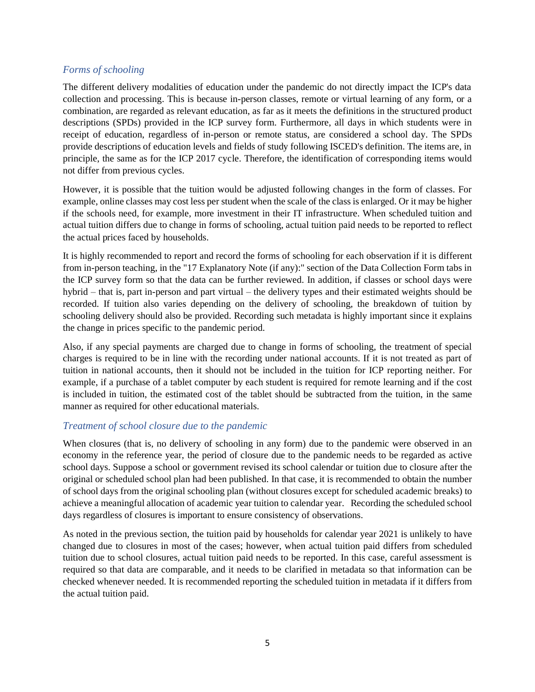#### *Forms of schooling*

The different delivery modalities of education under the pandemic do not directly impact the ICP's data collection and processing. This is because in-person classes, remote or virtual learning of any form, or a combination, are regarded as relevant education, as far as it meets the definitions in the structured product descriptions (SPDs) provided in the ICP survey form. Furthermore, all days in which students were in receipt of education, regardless of in-person or remote status, are considered a school day. The SPDs provide descriptions of education levels and fields of study following ISCED's definition. The items are, in principle, the same as for the ICP 2017 cycle. Therefore, the identification of corresponding items would not differ from previous cycles.

However, it is possible that the tuition would be adjusted following changes in the form of classes. For example, online classes may cost less per student when the scale of the class is enlarged. Or it may be higher if the schools need, for example, more investment in their IT infrastructure. When scheduled tuition and actual tuition differs due to change in forms of schooling, actual tuition paid needs to be reported to reflect the actual prices faced by households.

It is highly recommended to report and record the forms of schooling for each observation if it is different from in-person teaching, in the "17 Explanatory Note (if any):" section of the Data Collection Form tabs in the ICP survey form so that the data can be further reviewed. In addition, if classes or school days were hybrid – that is, part in-person and part virtual – the delivery types and their estimated weights should be recorded. If tuition also varies depending on the delivery of schooling, the breakdown of tuition by schooling delivery should also be provided. Recording such metadata is highly important since it explains the change in prices specific to the pandemic period.

Also, if any special payments are charged due to change in forms of schooling, the treatment of special charges is required to be in line with the recording under national accounts. If it is not treated as part of tuition in national accounts, then it should not be included in the tuition for ICP reporting neither. For example, if a purchase of a tablet computer by each student is required for remote learning and if the cost is included in tuition, the estimated cost of the tablet should be subtracted from the tuition, in the same manner as required for other educational materials.

#### *Treatment of school closure due to the pandemic*

When closures (that is, no delivery of schooling in any form) due to the pandemic were observed in an economy in the reference year, the period of closure due to the pandemic needs to be regarded as active school days. Suppose a school or government revised its school calendar or tuition due to closure after the original or scheduled school plan had been published. In that case, it is recommended to obtain the number of school days from the original schooling plan (without closures except for scheduled academic breaks) to achieve a meaningful allocation of academic year tuition to calendar year. Recording the scheduled school days regardless of closures is important to ensure consistency of observations.

As noted in the previous section, the tuition paid by households for calendar year 2021 is unlikely to have changed due to closures in most of the cases; however, when actual tuition paid differs from scheduled tuition due to school closures, actual tuition paid needs to be reported. In this case, careful assessment is required so that data are comparable, and it needs to be clarified in metadata so that information can be checked whenever needed. It is recommended reporting the scheduled tuition in metadata if it differs from the actual tuition paid.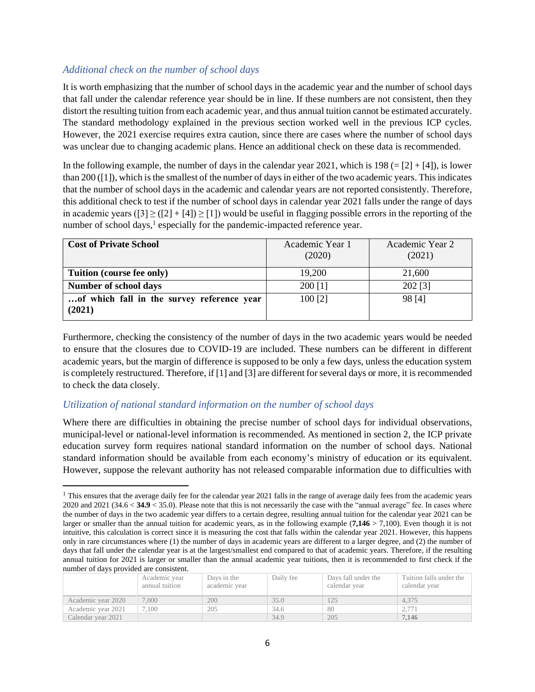#### *Additional check on the number of school days*

It is worth emphasizing that the number of school days in the academic year and the number of school days that fall under the calendar reference year should be in line. If these numbers are not consistent, then they distort the resulting tuition from each academic year, and thus annual tuition cannot be estimated accurately. The standard methodology explained in the previous section worked well in the previous ICP cycles. However, the 2021 exercise requires extra caution, since there are cases where the number of school days was unclear due to changing academic plans. Hence an additional check on these data is recommended.

In the following example, the number of days in the calendar year 2021, which is  $198 (= [2] + [4])$ , is lower than 200 ([1]), which isthe smallest of the number of days in either of the two academic years. This indicates that the number of school days in the academic and calendar years are not reported consistently. Therefore, this additional check to test if the number of school days in calendar year 2021 falls under the range of days in academic years  $(3 \ge (2 + 4) \ge 1)$  would be useful in flagging possible errors in the reporting of the number of school days,<sup>1</sup> especially for the pandemic-impacted reference year.

| <b>Cost of Private School</b>                        | Academic Year 1<br>(2020) | Academic Year 2<br>(2021) |
|------------------------------------------------------|---------------------------|---------------------------|
| Tuition (course fee only)                            | 19,200                    | 21,600                    |
| Number of school days                                | 200 [1]                   | 202 [3]                   |
| of which fall in the survey reference year<br>(2021) | 100 [2]                   | 98 [4]                    |

Furthermore, checking the consistency of the number of days in the two academic years would be needed to ensure that the closures due to COVID-19 are included. These numbers can be different in different academic years, but the margin of difference is supposed to be only a few days, unless the education system is completely restructured. Therefore, if [1] and [3] are different for several days or more, it is recommended to check the data closely.

#### *Utilization of national standard information on the number of school days*

Where there are difficulties in obtaining the precise number of school days for individual observations, municipal-level or national-level information is recommended. As mentioned in section 2, the ICP private education survey form requires national standard information on the number of school days. National standard information should be available from each economy's ministry of education or its equivalent. However, suppose the relevant authority has not released comparable information due to difficulties with

 $<sup>1</sup>$  This ensures that the average daily fee for the calendar year 2021 falls in the range of average daily fees from the academic years</sup> 2020 and 2021 (34.6 < **34.9** < 35.0). Please note that this is not necessarily the case with the "annual average" fee. In cases where the number of days in the two academic year differs to a certain degree, resulting annual tuition for the calendar year 2021 can be larger or smaller than the annual tuition for academic years, as in the following example (**7,146** > 7,100). Even though it is not intuitive, this calculation is correct since it is measuring the cost that falls within the calendar year 2021. However, this happens only in rare circumstances where (1) the number of days in academic years are different to a larger degree, and (2) the number of days that fall under the calendar year is at the largest/smallest end compared to that of academic years. Therefore, if the resulting annual tuition for 2021 is larger or smaller than the annual academic year tuitions, then it is recommended to first check if the number of days provided are consistent.

|  |                    | Academic year<br>annual tuition | Days in the<br>academic year | Daily fee | Days fall under the<br>calendar year | Tuition falls under the<br>calendar year |  |  |
|--|--------------------|---------------------------------|------------------------------|-----------|--------------------------------------|------------------------------------------|--|--|
|  | Academic year 2020 | 7,000                           | 200                          | 35.0      |                                      | 4.375                                    |  |  |
|  | Academic year 2021 | 7.100                           | 205                          | 34.6      | 80                                   | 2.771                                    |  |  |
|  | Calendar year 2021 |                                 |                              | 34.9      | 205                                  | 7.146                                    |  |  |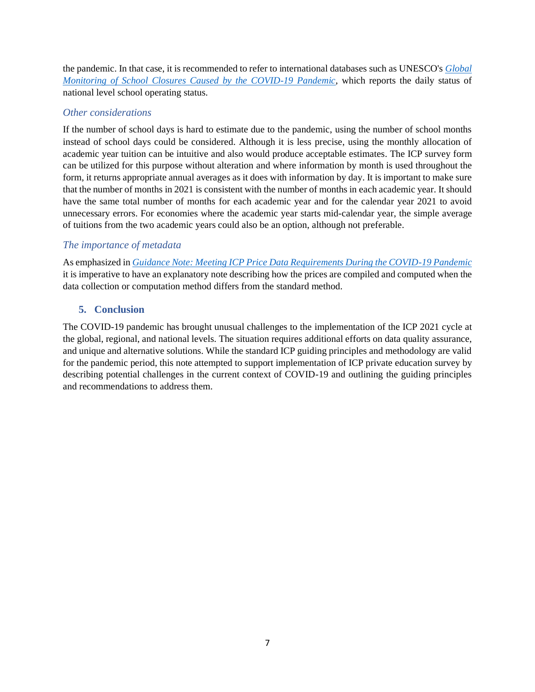the pandemic. In that case, it is recommended to refer to international databases such as UNESCO's *[Global](https://covid19.uis.unesco.org/data/)  [Monitoring of School Closures Caused by the COVID-19 Pandemic](https://covid19.uis.unesco.org/data/)*, which reports the daily status of national level school operating status.

# *Other considerations*

If the number of school days is hard to estimate due to the pandemic, using the number of school months instead of school days could be considered. Although it is less precise, using the monthly allocation of academic year tuition can be intuitive and also would produce acceptable estimates. The ICP survey form can be utilized for this purpose without alteration and where information by month is used throughout the form, it returns appropriate annual averages as it does with information by day. It is important to make sure that the number of months in 2021 is consistent with the number of months in each academic year. It should have the same total number of months for each academic year and for the calendar year 2021 to avoid unnecessary errors. For economies where the academic year starts mid-calendar year, the simple average of tuitions from the two academic years could also be an option, although not preferable.

# *The importance of metadata*

As emphasized in *[Guidance Note: Meeting ICP Price Data Requirements During the COVID-19 Pandemic](https://thedocs.worldbank.org/en/doc/af6ad75071120c9ccfca6dd50675a270-0050022021/original/ICP-COVID19-Guidance-Note-Prices-2021-02-03.pdf)* it is imperative to have an explanatory note describing how the prices are compiled and computed when the data collection or computation method differs from the standard method.

# **5. Conclusion**

The COVID-19 pandemic has brought unusual challenges to the implementation of the ICP 2021 cycle at the global, regional, and national levels. The situation requires additional efforts on data quality assurance, and unique and alternative solutions. While the standard ICP guiding principles and methodology are valid for the pandemic period, this note attempted to support implementation of ICP private education survey by describing potential challenges in the current context of COVID-19 and outlining the guiding principles and recommendations to address them.